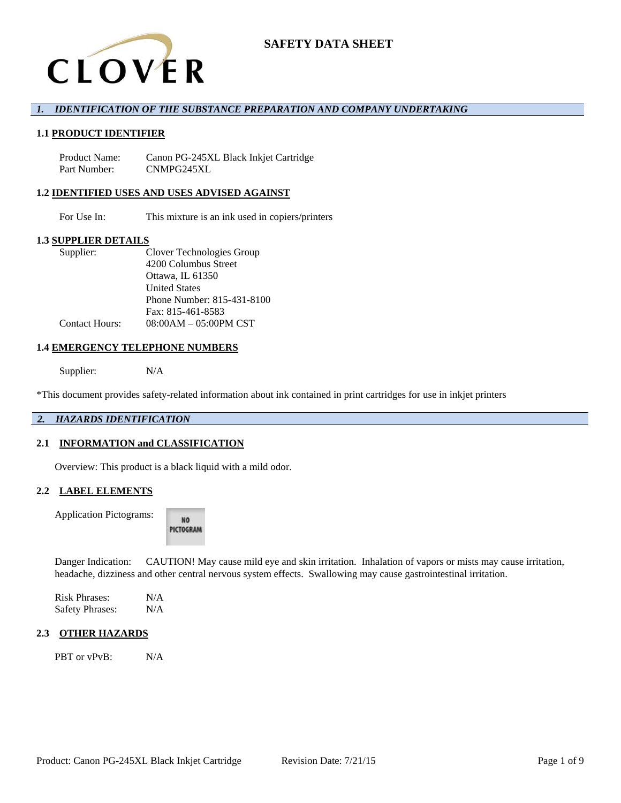

## *1. IDENTIFICATION OF THE SUBSTANCE PREPARATION AND COMPANY UNDERTAKING*

## **1.1 PRODUCT IDENTIFIER**

Product Name: Canon PG-245XL Black Inkjet Cartridge Part Number: CNMPG245XL

### **1.2 IDENTIFIED USES AND USES ADVISED AGAINST**

For Use In: This mixture is an ink used in copiers/printers

## **1.3 SUPPLIER DETAILS**

| Supplier:             | Clover Technologies Group       |
|-----------------------|---------------------------------|
|                       | 4200 Columbus Street            |
|                       | Ottawa, IL 61350                |
|                       | <b>United States</b>            |
|                       | Phone Number: 815-431-8100      |
|                       | Fax: 815-461-8583               |
| <b>Contact Hours:</b> | $08:00AM - 05:00PM \text{ CST}$ |

#### **1.4 EMERGENCY TELEPHONE NUMBERS**

Supplier: N/A

\*This document provides safety-related information about ink contained in print cartridges for use in inkjet printers

# *2. HAZARDS IDENTIFICATION*

### **2.1 INFORMATION and CLASSIFICATION**

Overview: This product is a black liquid with a mild odor.

## **2.2 LABEL ELEMENTS**

Application Pictograms:

NO. PICTOGRAM

Danger Indication: CAUTION! May cause mild eye and skin irritation. Inhalation of vapors or mists may cause irritation, headache, dizziness and other central nervous system effects. Swallowing may cause gastrointestinal irritation.

Risk Phrases: N/A Safety Phrases: N/A

## **2.3 OTHER HAZARDS**

PBT or vPvB: N/A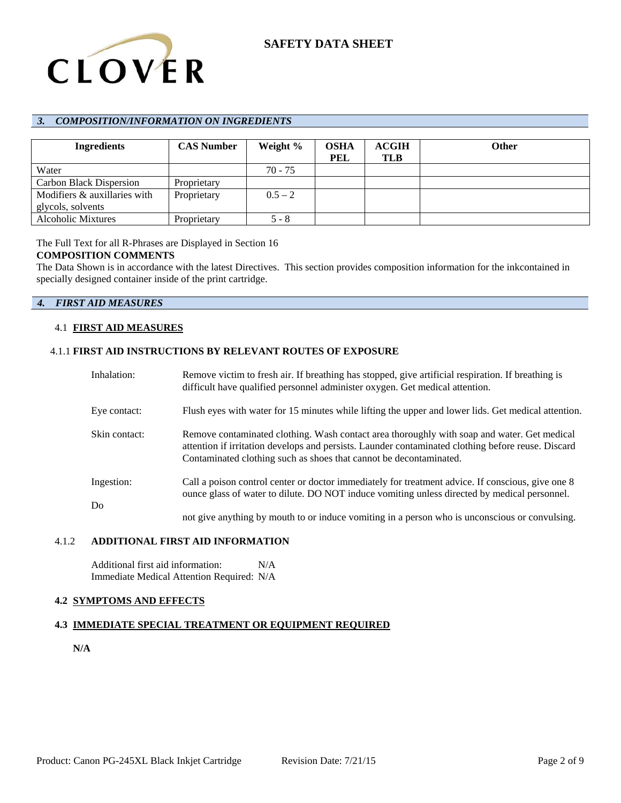

## *3. COMPOSITION/INFORMATION ON INGREDIENTS*

| <b>Ingredients</b>             | <b>CAS Number</b> | Weight %  | OSHA       | <b>ACGIH</b> | <b>Other</b> |
|--------------------------------|-------------------|-----------|------------|--------------|--------------|
|                                |                   |           | <b>PEL</b> | <b>TLB</b>   |              |
| Water                          |                   | 70 - 75   |            |              |              |
| <b>Carbon Black Dispersion</b> | Proprietary       |           |            |              |              |
| Modifiers & auxillaries with   | Proprietary       | $0.5 - 2$ |            |              |              |
| glycols, solvents              |                   |           |            |              |              |
| <b>Alcoholic Mixtures</b>      | Proprietary       | $5 - 8$   |            |              |              |

The Full Text for all R-Phrases are Displayed in Section 16

## **COMPOSITION COMMENTS**

The Data Shown is in accordance with the latest Directives. This section provides composition information for the inkcontained in specially designed container inside of the print cartridge.

## *4. FIRST AID MEASURES*

### 4.1 **FIRST AID MEASURES**

## 4.1.1 **FIRST AID INSTRUCTIONS BY RELEVANT ROUTES OF EXPOSURE**

| Inhalation:      | Remove victim to fresh air. If breathing has stopped, give artificial respiration. If breathing is<br>difficult have qualified personnel administer oxygen. Get medical attention.                                                                                      |
|------------------|-------------------------------------------------------------------------------------------------------------------------------------------------------------------------------------------------------------------------------------------------------------------------|
| Eye contact:     | Flush eyes with water for 15 minutes while lifting the upper and lower lids. Get medical attention.                                                                                                                                                                     |
| Skin contact:    | Remove contaminated clothing. Wash contact area thoroughly with soap and water. Get medical<br>attention if irritation develops and persists. Launder contaminated clothing before reuse. Discard<br>Contaminated clothing such as shoes that cannot be decontaminated. |
| Ingestion:<br>Do | Call a poison control center or doctor immediately for treatment advice. If conscious, give one 8<br>ounce glass of water to dilute. DO NOT induce vomiting unless directed by medical personnel.                                                                       |
|                  | not give anything by mouth to or induce vomiting in a person who is unconscious or convulsing.                                                                                                                                                                          |

## 4.1.2 **ADDITIONAL FIRST AID INFORMATION**

Additional first aid information: N/A Immediate Medical Attention Required: N/A

# **4.2 SYMPTOMS AND EFFECTS**

# **4.3 IMMEDIATE SPECIAL TREATMENT OR EQUIPMENT REQUIRED**

**N/A**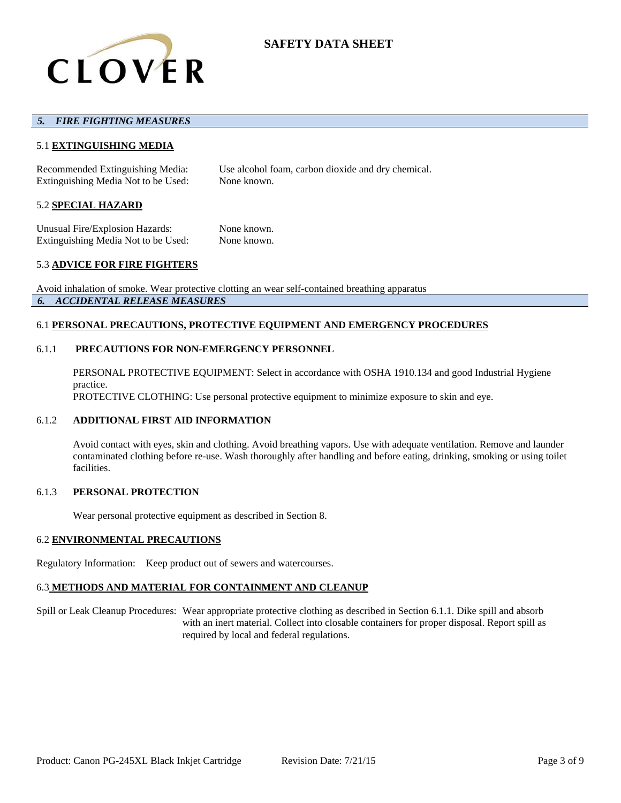

## *5. FIRE FIGHTING MEASURES*

## 5.1 **EXTINGUISHING MEDIA**

Recommended Extinguishing Media: Use alcohol foam, carbon dioxide and dry chemical. Extinguishing Media Not to be Used: None known.

#### 5.2 **SPECIAL HAZARD**

Unusual Fire/Explosion Hazards: None known. Extinguishing Media Not to be Used: None known.

### 5.3 **ADVICE FOR FIRE FIGHTERS**

Avoid inhalation of smoke. Wear protective clotting an wear self-contained breathing apparatus *6. ACCIDENTAL RELEASE MEASURES*

#### 6.1 **PERSONAL PRECAUTIONS, PROTECTIVE EQUIPMENT AND EMERGENCY PROCEDURES**

## 6.1.1 **PRECAUTIONS FOR NON-EMERGENCY PERSONNEL**

PERSONAL PROTECTIVE EQUIPMENT: Select in accordance with OSHA 1910.134 and good Industrial Hygiene practice. PROTECTIVE CLOTHING: Use personal protective equipment to minimize exposure to skin and eye.

#### 6.1.2 **ADDITIONAL FIRST AID INFORMATION**

Avoid contact with eyes, skin and clothing. Avoid breathing vapors. Use with adequate ventilation. Remove and launder contaminated clothing before re-use. Wash thoroughly after handling and before eating, drinking, smoking or using toilet facilities.

### 6.1.3 **PERSONAL PROTECTION**

Wear personal protective equipment as described in Section 8.

#### 6.2 **ENVIRONMENTAL PRECAUTIONS**

Regulatory Information: Keep product out of sewers and watercourses.

### 6.3 **METHODS AND MATERIAL FOR CONTAINMENT AND CLEANUP**

Spill or Leak Cleanup Procedures: Wear appropriate protective clothing as described in Section 6.1.1. Dike spill and absorb with an inert material. Collect into closable containers for proper disposal. Report spill as required by local and federal regulations.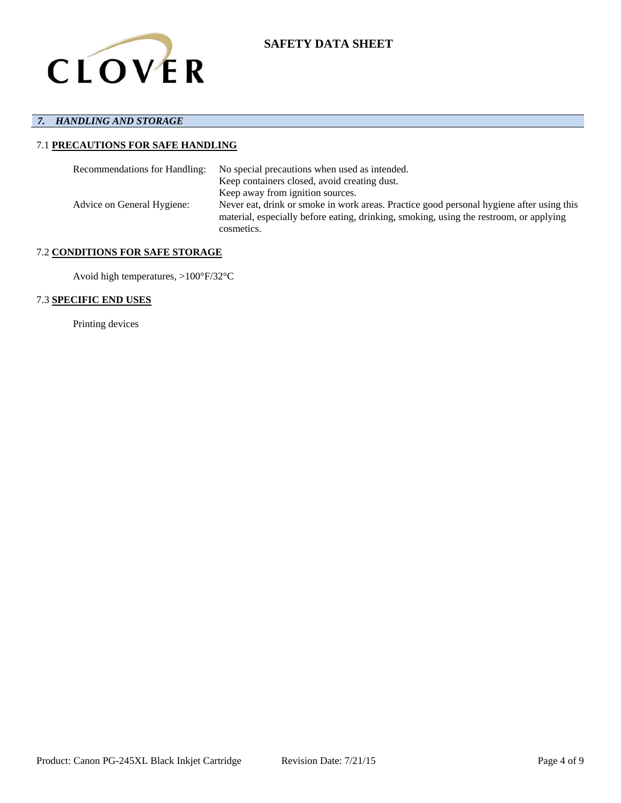

# *7. HANDLING AND STORAGE*

# 7.1 **PRECAUTIONS FOR SAFE HANDLING**

| Recommendations for Handling: | No special precautions when used as intended.                                                                                                                                                    |
|-------------------------------|--------------------------------------------------------------------------------------------------------------------------------------------------------------------------------------------------|
|                               | Keep containers closed, avoid creating dust.                                                                                                                                                     |
|                               | Keep away from ignition sources.                                                                                                                                                                 |
| Advice on General Hygiene:    | Never eat, drink or smoke in work areas. Practice good personal hygiene after using this<br>material, especially before eating, drinking, smoking, using the restroom, or applying<br>cosmetics. |

# 7.2 **CONDITIONS FOR SAFE STORAGE**

Avoid high temperatures, >100°F/32°C

# 7.3 **SPECIFIC END USES**

Printing devices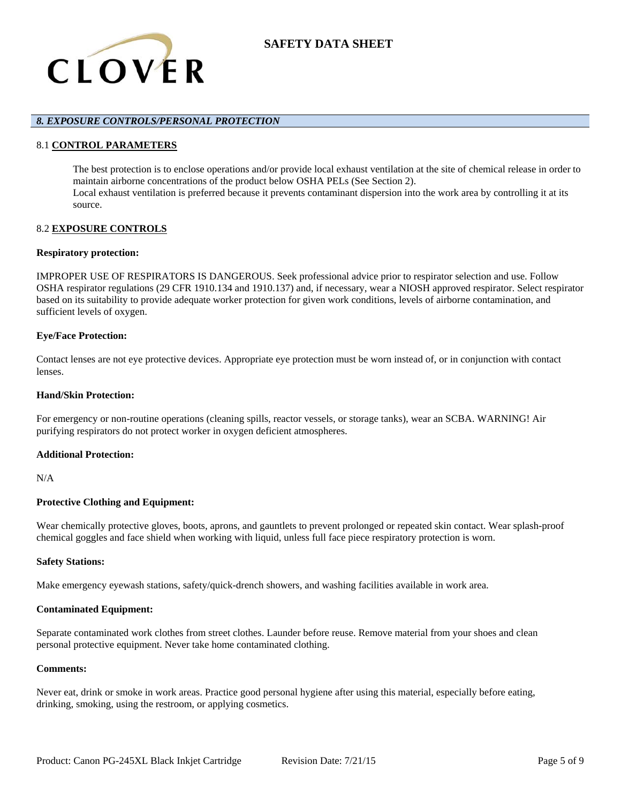

## *8. EXPOSURE CONTROLS/PERSONAL PROTECTION*

### 8.1 **CONTROL PARAMETERS**

The best protection is to enclose operations and/or provide local exhaust ventilation at the site of chemical release in order to maintain airborne concentrations of the product below OSHA PELs (See Section 2). Local exhaust ventilation is preferred because it prevents contaminant dispersion into the work area by controlling it at its source.

## 8.2 **EXPOSURE CONTROLS**

#### **Respiratory protection:**

IMPROPER USE OF RESPIRATORS IS DANGEROUS. Seek professional advice prior to respirator selection and use. Follow OSHA respirator regulations (29 CFR 1910.134 and 1910.137) and, if necessary, wear a NIOSH approved respirator. Select respirator based on its suitability to provide adequate worker protection for given work conditions, levels of airborne contamination, and sufficient levels of oxygen.

### **Eye/Face Protection:**

Contact lenses are not eye protective devices. Appropriate eye protection must be worn instead of, or in conjunction with contact lenses.

### **Hand/Skin Protection:**

For emergency or non-routine operations (cleaning spills, reactor vessels, or storage tanks), wear an SCBA. WARNING! Air purifying respirators do not protect worker in oxygen deficient atmospheres.

### **Additional Protection:**

N/A

### **Protective Clothing and Equipment:**

Wear chemically protective gloves, boots, aprons, and gauntlets to prevent prolonged or repeated skin contact. Wear splash-proof chemical goggles and face shield when working with liquid, unless full face piece respiratory protection is worn.

#### **Safety Stations:**

Make emergency eyewash stations, safety/quick-drench showers, and washing facilities available in work area.

#### **Contaminated Equipment:**

Separate contaminated work clothes from street clothes. Launder before reuse. Remove material from your shoes and clean personal protective equipment. Never take home contaminated clothing.

## **Comments:**

Never eat, drink or smoke in work areas. Practice good personal hygiene after using this material, especially before eating, drinking, smoking, using the restroom, or applying cosmetics.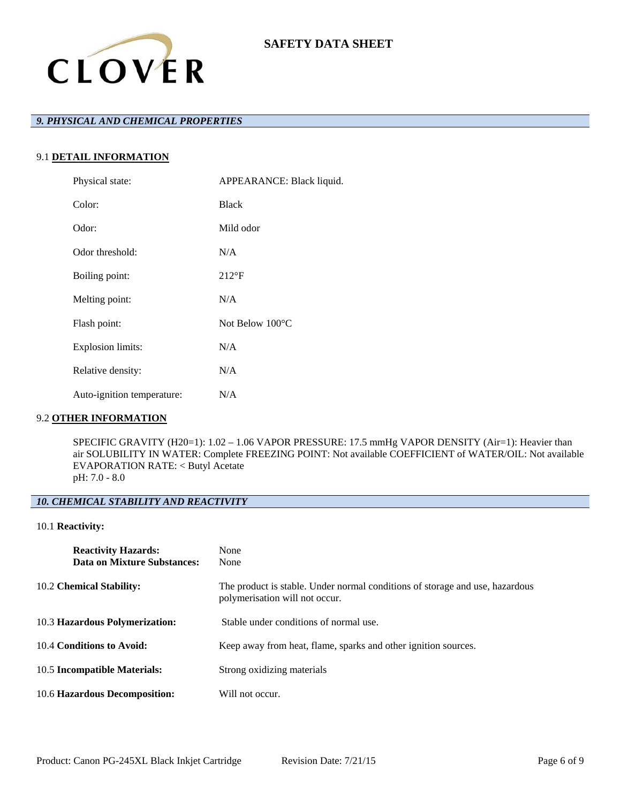

# *9. PHYSICAL AND CHEMICAL PROPERTIES*

# 9.1 **DETAIL INFORMATION**

| Physical state:            | APPEARANCE: Black liquid. |
|----------------------------|---------------------------|
| Color:                     | <b>Black</b>              |
| Odor:                      | Mild odor                 |
| Odor threshold:            | N/A                       |
| Boiling point:             | $212^{\circ}F$            |
| Melting point:             | N/A                       |
| Flash point:               | Not Below $100^{\circ}$ C |
| <b>Explosion limits:</b>   | N/A                       |
| Relative density:          | N/A                       |
| Auto-ignition temperature: | N/A                       |

## 9.2 **OTHER INFORMATION**

SPECIFIC GRAVITY (H20=1): 1.02 – 1.06 VAPOR PRESSURE: 17.5 mmHg VAPOR DENSITY (Air=1): Heavier than air SOLUBILITY IN WATER: Complete FREEZING POINT: Not available COEFFICIENT of WATER/OIL: Not available EVAPORATION RATE: < Butyl Acetate pH: 7.0 - 8.0

# *10. CHEMICAL STABILITY AND REACTIVITY*

## 10.1 **Reactivity:**

| <b>Reactivity Hazards:</b><br>Data on Mixture Substances: | None<br>None                                                                                                   |
|-----------------------------------------------------------|----------------------------------------------------------------------------------------------------------------|
| 10.2 Chemical Stability:                                  | The product is stable. Under normal conditions of storage and use, hazardous<br>polymerisation will not occur. |
| 10.3 Hazardous Polymerization:                            | Stable under conditions of normal use.                                                                         |
| 10.4 Conditions to Avoid:                                 | Keep away from heat, flame, sparks and other ignition sources.                                                 |
| 10.5 Incompatible Materials:                              | Strong oxidizing materials                                                                                     |
| 10.6 Hazardous Decomposition:                             | Will not occur.                                                                                                |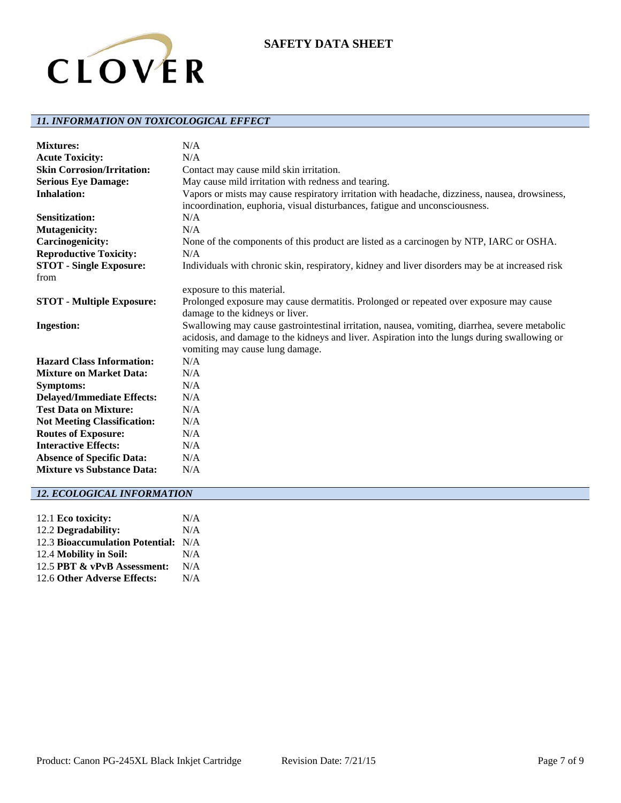

# *11. INFORMATION ON TOXICOLOGICAL EFFECT*

| <b>Mixtures:</b>                   | N/A                                                                                                                                                                                                                                |
|------------------------------------|------------------------------------------------------------------------------------------------------------------------------------------------------------------------------------------------------------------------------------|
| <b>Acute Toxicity:</b>             | N/A                                                                                                                                                                                                                                |
| <b>Skin Corrosion/Irritation:</b>  | Contact may cause mild skin irritation.                                                                                                                                                                                            |
| <b>Serious Eye Damage:</b>         | May cause mild irritation with redness and tearing.                                                                                                                                                                                |
| <b>Inhalation:</b>                 | Vapors or mists may cause respiratory irritation with headache, dizziness, nausea, drowsiness,<br>incoordination, euphoria, visual disturbances, fatigue and unconsciousness.                                                      |
| <b>Sensitization:</b>              | N/A                                                                                                                                                                                                                                |
| <b>Mutagenicity:</b>               | N/A                                                                                                                                                                                                                                |
| Carcinogenicity:                   | None of the components of this product are listed as a carcinogen by NTP, IARC or OSHA.                                                                                                                                            |
| <b>Reproductive Toxicity:</b>      | N/A                                                                                                                                                                                                                                |
| <b>STOT - Single Exposure:</b>     | Individuals with chronic skin, respiratory, kidney and liver disorders may be at increased risk                                                                                                                                    |
| from                               |                                                                                                                                                                                                                                    |
|                                    | exposure to this material.                                                                                                                                                                                                         |
| <b>STOT</b> - Multiple Exposure:   | Prolonged exposure may cause dermatitis. Prolonged or repeated over exposure may cause                                                                                                                                             |
|                                    | damage to the kidneys or liver.                                                                                                                                                                                                    |
| <b>Ingestion:</b>                  | Swallowing may cause gastrointestinal irritation, nausea, vomiting, diarrhea, severe metabolic<br>acidosis, and damage to the kidneys and liver. Aspiration into the lungs during swallowing or<br>vomiting may cause lung damage. |
| <b>Hazard Class Information:</b>   | N/A                                                                                                                                                                                                                                |
| <b>Mixture on Market Data:</b>     | N/A                                                                                                                                                                                                                                |
| <b>Symptoms:</b>                   | N/A                                                                                                                                                                                                                                |
| <b>Delayed/Immediate Effects:</b>  | N/A                                                                                                                                                                                                                                |
| <b>Test Data on Mixture:</b>       | N/A                                                                                                                                                                                                                                |
| <b>Not Meeting Classification:</b> | N/A                                                                                                                                                                                                                                |
| <b>Routes of Exposure:</b>         | N/A                                                                                                                                                                                                                                |
| <b>Interactive Effects:</b>        | N/A                                                                                                                                                                                                                                |
| <b>Absence of Specific Data:</b>   | N/A                                                                                                                                                                                                                                |
| <b>Mixture vs Substance Data:</b>  | N/A                                                                                                                                                                                                                                |

# *12. ECOLOGICAL INFORMATION*

| 12.1 Eco toxicity:                  | N/A |
|-------------------------------------|-----|
| 12.2 Degradability:                 | N/A |
| 12.3 Bioaccumulation Potential: N/A |     |
| 12.4 Mobility in Soil:              | N/A |
| 12.5 PBT & vPvB Assessment:         | N/A |
| 12.6 Other Adverse Effects:         | N/A |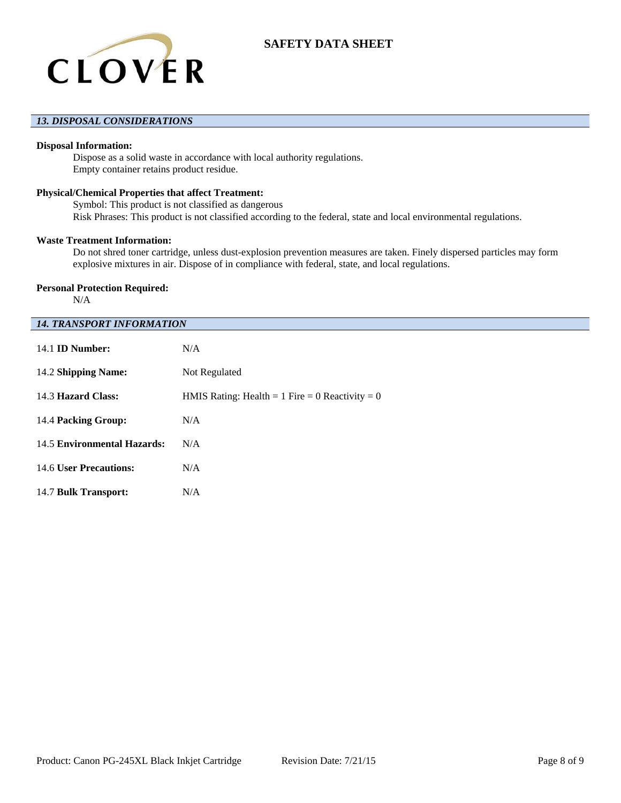

## *13. DISPOSAL CONSIDERATIONS*

### **Disposal Information:**

Dispose as a solid waste in accordance with local authority regulations. Empty container retains product residue.

## **Physical/Chemical Properties that affect Treatment:**

Symbol: This product is not classified as dangerous Risk Phrases: This product is not classified according to the federal, state and local environmental regulations.

#### **Waste Treatment Information:**

Do not shred toner cartridge, unless dust-explosion prevention measures are taken. Finely dispersed particles may form explosive mixtures in air. Dispose of in compliance with federal, state, and local regulations.

### **Personal Protection Required:**

N/A

### *14. TRANSPORT INFORMATION*

| 14.1 <b>ID Number:</b>      | N/A                                             |
|-----------------------------|-------------------------------------------------|
| 14.2 Shipping Name:         | Not Regulated                                   |
| 14.3 Hazard Class:          | HMIS Rating: Health = 1 Fire = 0 Reactivity = 0 |
| 14.4 Packing Group:         | N/A                                             |
| 14.5 Environmental Hazards: | N/A                                             |
| 14.6 User Precautions:      | N/A                                             |
| 14.7 Bulk Transport:        | N/A                                             |